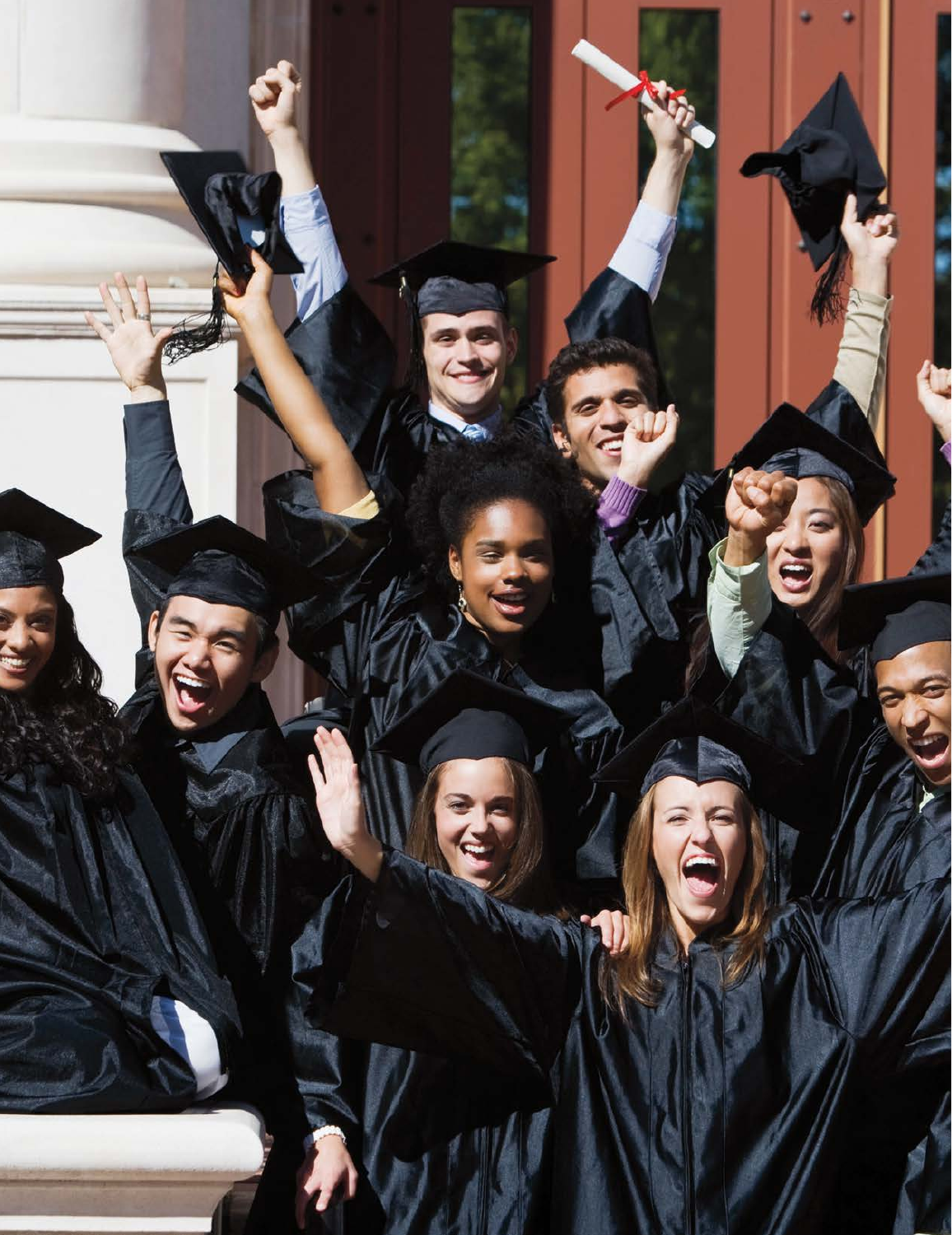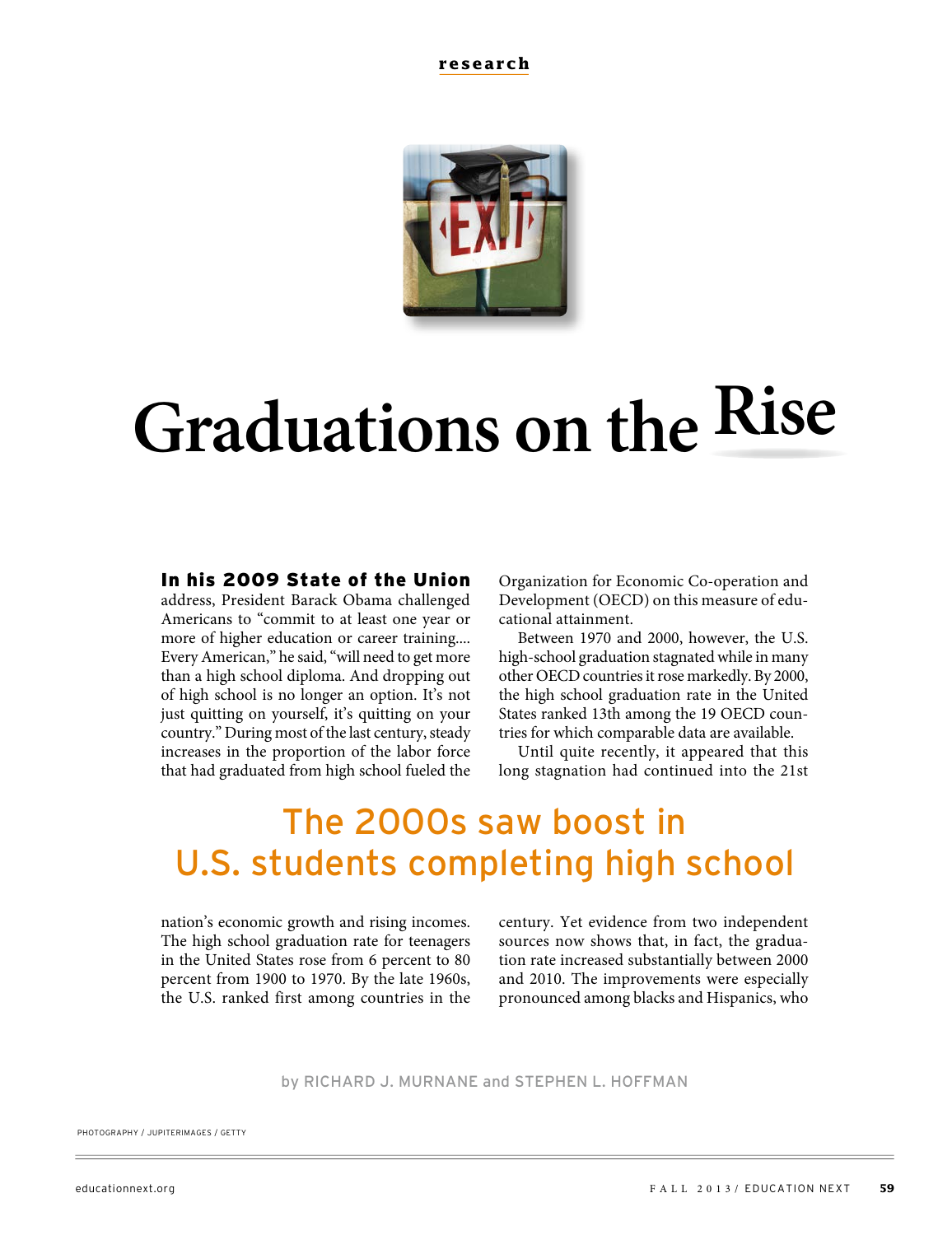

# **Graduations on the Rise**

#### In his 2009 State of the Union

address, President Barack Obama challenged Americans to "commit to at least one year or more of higher education or career training.... Every American," he said, "will need to get more than a high school diploma. And dropping out of high school is no longer an option. It's not just quitting on yourself, it's quitting on your country." During most of the last century, steady increases in the proportion of the labor force that had graduated from high school fueled the Organization for Economic Co-operation and Development (OECD) on this measure of educational attainment.

Between 1970 and 2000, however, the U.S. high-school graduation stagnated while in many other OECD countries it rose markedly. By 2000, the high school graduation rate in the United States ranked 13th among the 19 OECD countries for which comparable data are available.

Until quite recently, it appeared that this long stagnation had continued into the 21st

## The 2000s saw boost in U.S. students completing high school

nation's economic growth and rising incomes. The high school graduation rate for teenagers in the United States rose from 6 percent to 80 percent from 1900 to 1970. By the late 1960s, the U.S. ranked first among countries in the century. Yet evidence from two independent sources now shows that, in fact, the graduation rate increased substantially between 2000 and 2010. The improvements were especially pronounced among blacks and Hispanics, who

by RICHARD J. MURNANE and STEPHEN L. HOFFMAN

PHOTOGRAPHY / JUPITERIMAGES / GETTY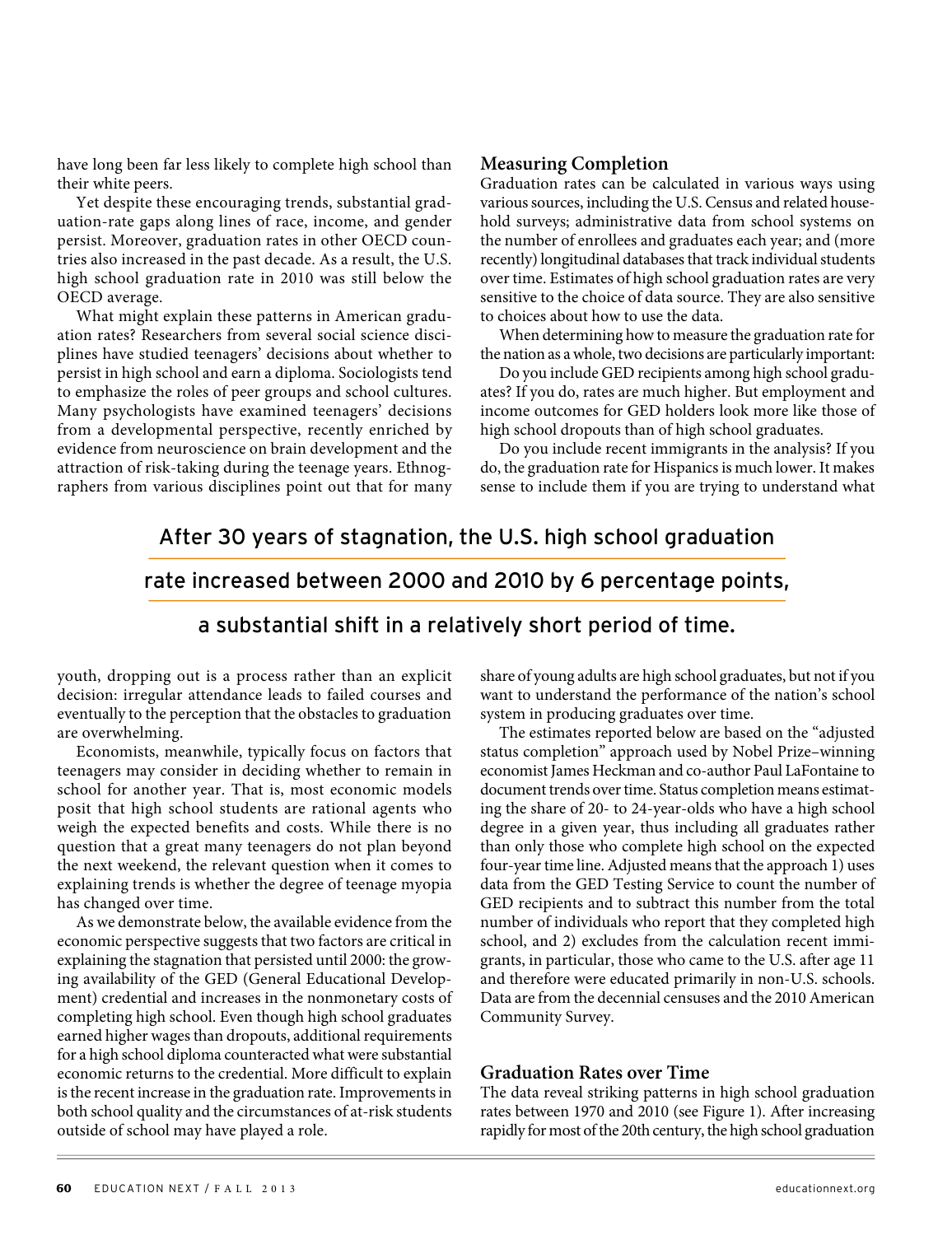have long been far less likely to complete high school than their white peers.

Yet despite these encouraging trends, substantial graduation-rate gaps along lines of race, income, and gender persist. Moreover, graduation rates in other OECD countries also increased in the past decade. As a result, the U.S. high school graduation rate in 2010 was still below the OECD average.

What might explain these patterns in American graduation rates? Researchers from several social science disciplines have studied teenagers' decisions about whether to persist in high school and earn a diploma. Sociologists tend to emphasize the roles of peer groups and school cultures. Many psychologists have examined teenagers' decisions from a developmental perspective, recently enriched by evidence from neuroscience on brain development and the attraction of risk-taking during the teenage years. Ethnographers from various disciplines point out that for many

#### **Measuring Completion**

Graduation rates can be calculated in various ways using various sources, including the U.S. Census and related household surveys; administrative data from school systems on the number of enrollees and graduates each year; and (more recently) longitudinal databases that track individual students over time. Estimates of high school graduation rates are very sensitive to the choice of data source. They are also sensitive to choices about how to use the data.

When determining how to measure the graduation rate for the nation as a whole, two decisions are particularly important:

Do you include GED recipients among high school graduates? If you do, rates are much higher. But employment and income outcomes for GED holders look more like those of high school dropouts than of high school graduates.

Do you include recent immigrants in the analysis? If you do, the graduation rate for Hispanics is much lower. It makes sense to include them if you are trying to understand what

## After 30 years of stagnation, the U.S. high school graduation

## rate increased between 2000 and 2010 by 6 percentage points,

## a substantial shift in a relatively short period of time.

youth, dropping out is a process rather than an explicit decision: irregular attendance leads to failed courses and eventually to the perception that the obstacles to graduation are overwhelming.

Economists, meanwhile, typically focus on factors that teenagers may consider in deciding whether to remain in school for another year. That is, most economic models posit that high school students are rational agents who weigh the expected benefits and costs. While there is no question that a great many teenagers do not plan beyond the next weekend, the relevant question when it comes to explaining trends is whether the degree of teenage myopia has changed over time.

As we demonstrate below, the available evidence from the economic perspective suggests that two factors are critical in explaining the stagnation that persisted until 2000: the growing availability of the GED (General Educational Development) credential and increases in the nonmonetary costs of completing high school. Even though high school graduates earned higher wages than dropouts, additional requirements for a high school diploma counteracted what were substantial economic returns to the credential. More difficult to explain is the recent increase in the graduation rate. Improvements in both school quality and the circumstances of at-risk students outside of school may have played a role.

share of young adults are high school graduates, but not if you want to understand the performance of the nation's school system in producing graduates over time.

The estimates reported below are based on the "adjusted status completion" approach used by Nobel Prize–winning economist James Heckman and co-author Paul LaFontaine to document trends over time. Status completion means estimating the share of 20- to 24-year-olds who have a high school degree in a given year, thus including all graduates rather than only those who complete high school on the expected four-year time line. Adjusted means that the approach 1) uses data from the GED Testing Service to count the number of GED recipients and to subtract this number from the total number of individuals who report that they completed high school, and 2) excludes from the calculation recent immigrants, in particular, those who came to the U.S. after age 11 and therefore were educated primarily in non-U.S. schools. Data are from the decennial censuses and the 2010 American Community Survey.

#### **Graduation Rates over Time**

The data reveal striking patterns in high school graduation rates between 1970 and 2010 (see Figure 1). After increasing rapidly for most of the 20th century, the high school graduation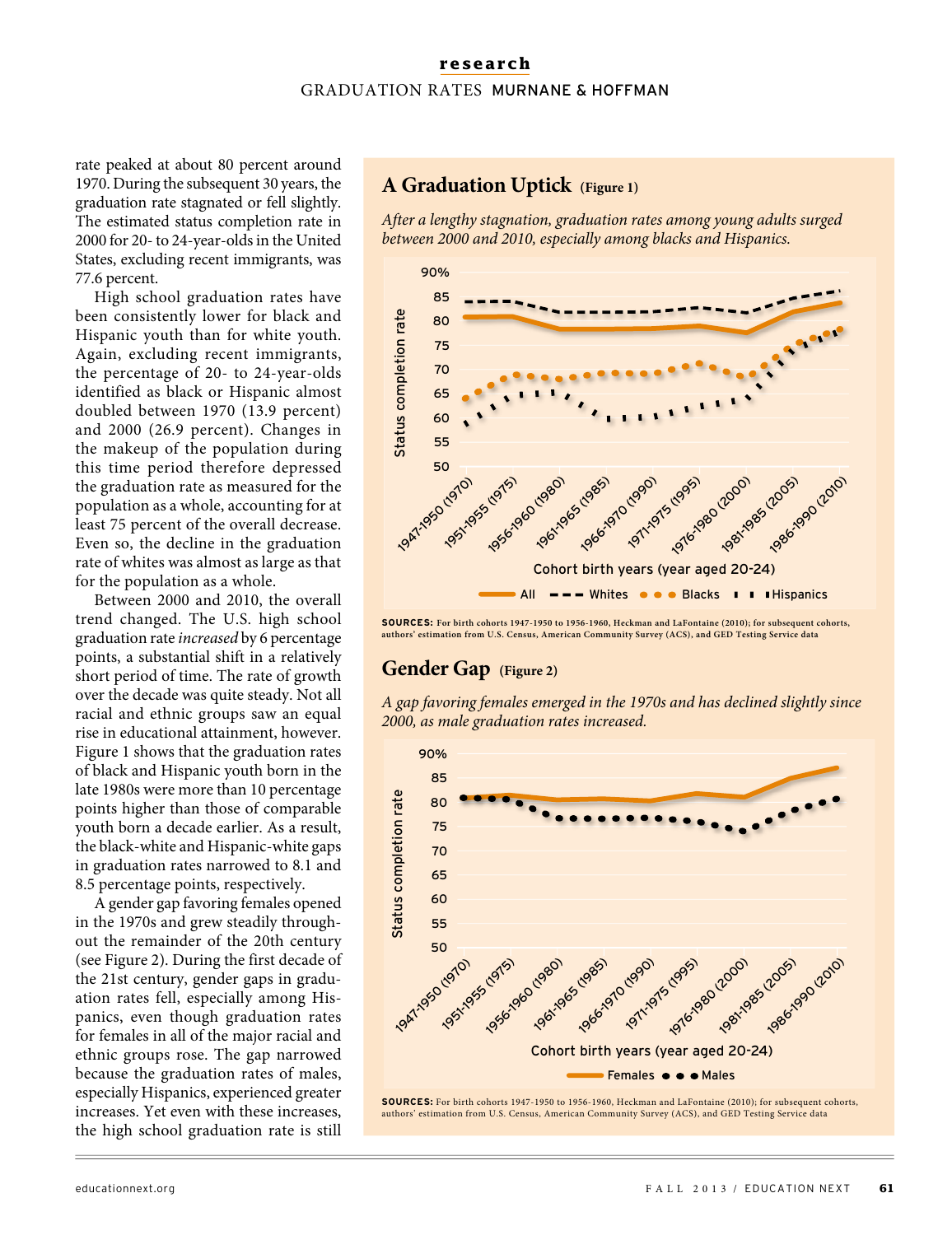## **research** GRADUATION RATES MURNANE & HOFFMAN

rate peaked at about 80 percent around 1970. During the subsequent 30 years, the graduation rate stagnated or fell slightly. The estimated status completion rate in 2000 for 20- to 24-year-olds in the United States, excluding recent immigrants, was 77.6 percent.

High school graduation rates have been consistently lower for black and Hispanic youth than for white youth. Again, excluding recent immigrants, the percentage of 20- to 24-year-olds identified as black or Hispanic almost doubled between 1970 (13.9 percent) and 2000 (26.9 percent). Changes in the makeup of the population during this time period therefore depressed the graduation rate as measured for the population as a whole, accounting for at least 75 percent of the overall decrease. Even so, the decline in the graduation rate of whites was almost as large as that for the population as a whole.

Between 2000 and 2010, the overall trend changed. The U.S. high school graduation rate increased by 6 percentage points, a substantial shift in a relatively short period of time. The rate of growth over the decade was quite steady. Not all racial and ethnic groups saw an equal rise in educational attainment, however. Figure 1 shows that the graduation rates of black and Hispanic youth born in the late 1980s were more than 10 percentage points higher than those of comparable youth born a decade earlier. As a result, the black-white and Hispanic-white gaps in graduation rates narrowed to 8.1 and 8.5 percentage points, respectively.

A gender gap favoring females opened in the 1970s and grew steadily throughout the remainder of the 20th century (see Figure 2). During the first decade of the 21st century, gender gaps in graduation rates fell, especially among Hispanics, even though graduation rates for females in all of the major racial and ethnic groups rose. The gap narrowed because the graduation rates of males, especially Hispanics, experienced greater increases. Yet even with these increases, the high school graduation rate is still

## **A Graduation Uptick (Figure 1)**

After a lengthy stagnation, graduation rates among young adults surged between 2000 and 2010, especially among blacks and Hispanics.



**SOURCES: For birth cohorts 1947-1950 to 1956-1960, Heckman and LaFontaine (2010); for subsequent cohorts, authors' estimation from U.S. Census, American Community Survey (ACS), and GED Testing Service data**

## **Gender Gap (Figure 2)**

A gap favoring females emerged in the 1970s and has declined slightly since 2000, as male graduation rates increased.



**SOURCES:** For birth cohorts 1947-1950 to 1956-1960, Heckman and LaFontaine (2010); for subsequent cohorts, authors' estimation from U.S. Census, American Community Survey (ACS), and GED Testing Service data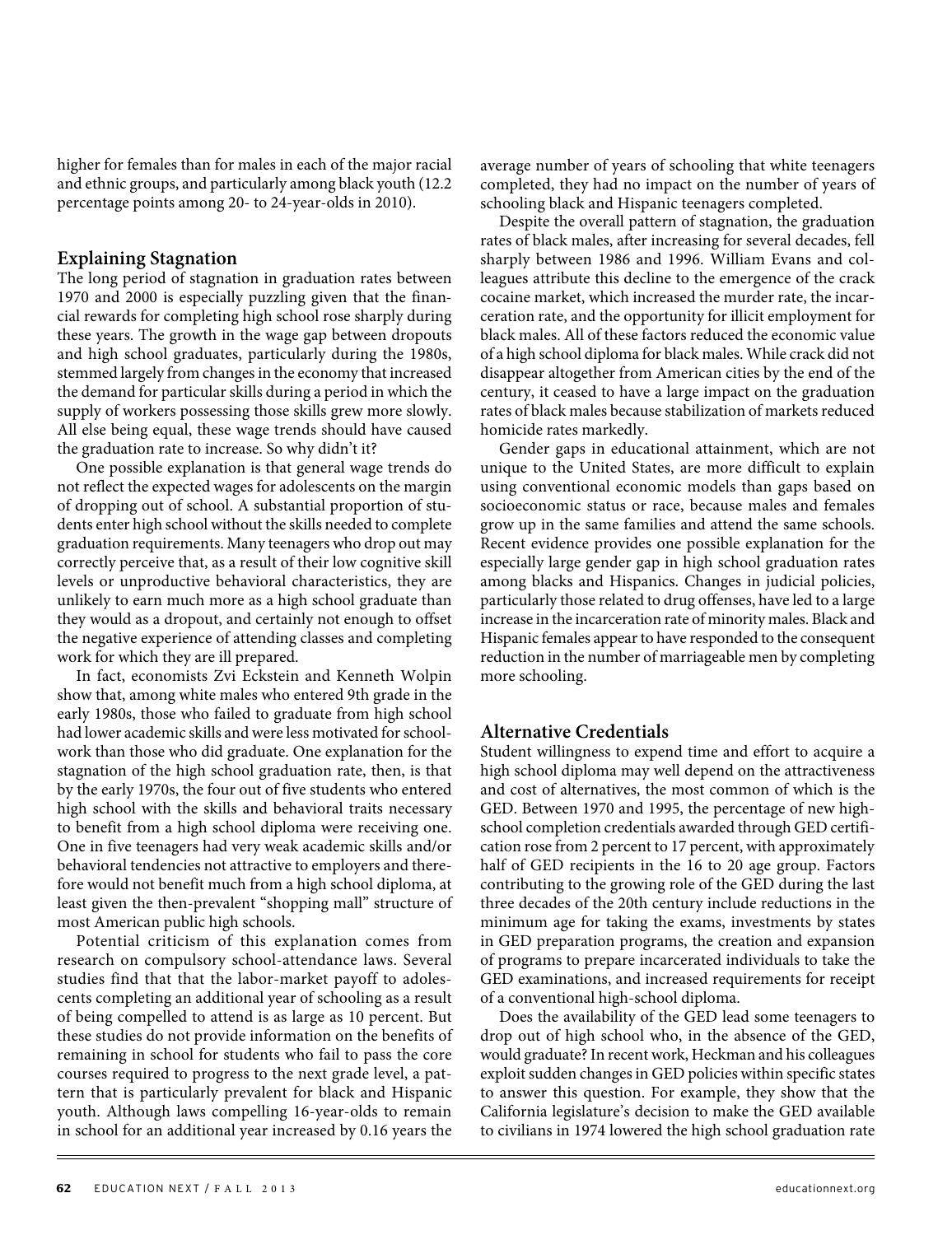higher for females than for males in each of the major racial and ethnic groups, and particularly among black youth (12.2 percentage points among 20- to 24-year-olds in 2010).

#### **Explaining Stagnation**

The long period of stagnation in graduation rates between 1970 and 2000 is especially puzzling given that the financial rewards for completing high school rose sharply during these years. The growth in the wage gap between dropouts and high school graduates, particularly during the 1980s, stemmed largely from changes in the economy that increased the demand for particular skills during a period in which the supply of workers possessing those skills grew more slowly. All else being equal, these wage trends should have caused the graduation rate to increase. So why didn't it?

One possible explanation is that general wage trends do not reflect the expected wages for adolescents on the margin of dropping out of school. A substantial proportion of students enter high school without the skills needed to complete graduation requirements. Many teenagers who drop out may correctly perceive that, as a result of their low cognitive skill levels or unproductive behavioral characteristics, they are unlikely to earn much more as a high school graduate than they would as a dropout, and certainly not enough to offset the negative experience of attending classes and completing work for which they are ill prepared.

In fact, economists Zvi Eckstein and Kenneth Wolpin show that, among white males who entered 9th grade in the early 1980s, those who failed to graduate from high school had lower academic skills and were less motivated for schoolwork than those who did graduate. One explanation for the stagnation of the high school graduation rate, then, is that by the early 1970s, the four out of five students who entered high school with the skills and behavioral traits necessary to benefit from a high school diploma were receiving one. One in five teenagers had very weak academic skills and/or behavioral tendencies not attractive to employers and therefore would not benefit much from a high school diploma, at least given the then-prevalent "shopping mall" structure of most American public high schools.

Potential criticism of this explanation comes from research on compulsory school-attendance laws. Several studies find that that the labor-market payoff to adolescents completing an additional year of schooling as a result of being compelled to attend is as large as 10 percent. But these studies do not provide information on the benefits of remaining in school for students who fail to pass the core courses required to progress to the next grade level, a pattern that is particularly prevalent for black and Hispanic youth. Although laws compelling 16-year-olds to remain in school for an additional year increased by 0.16 years the

average number of years of schooling that white teenagers completed, they had no impact on the number of years of schooling black and Hispanic teenagers completed.

Despite the overall pattern of stagnation, the graduation rates of black males, after increasing for several decades, fell sharply between 1986 and 1996. William Evans and colleagues attribute this decline to the emergence of the crack cocaine market, which increased the murder rate, the incarceration rate, and the opportunity for illicit employment for black males. All of these factors reduced the economic value of a high school diploma for black males. While crack did not disappear altogether from American cities by the end of the century, it ceased to have a large impact on the graduation rates of black males because stabilization of markets reduced homicide rates markedly.

Gender gaps in educational attainment, which are not unique to the United States, are more difficult to explain using conventional economic models than gaps based on socioeconomic status or race, because males and females grow up in the same families and attend the same schools. Recent evidence provides one possible explanation for the especially large gender gap in high school graduation rates among blacks and Hispanics. Changes in judicial policies, particularly those related to drug offenses, have led to a large increase in the incarceration rate of minority males. Black and Hispanic females appear to have responded to the consequent reduction in the number of marriageable men by completing more schooling.

### **Alternative Credentials**

Student willingness to expend time and effort to acquire a high school diploma may well depend on the attractiveness and cost of alternatives, the most common of which is the GED. Between 1970 and 1995, the percentage of new highschool completion credentials awarded through GED certification rose from 2 percent to 17 percent, with approximately half of GED recipients in the 16 to 20 age group. Factors contributing to the growing role of the GED during the last three decades of the 20th century include reductions in the minimum age for taking the exams, investments by states in GED preparation programs, the creation and expansion of programs to prepare incarcerated individuals to take the GED examinations, and increased requirements for receipt of a conventional high-school diploma.

Does the availability of the GED lead some teenagers to drop out of high school who, in the absence of the GED, would graduate? In recent work, Heckman and his colleagues exploit sudden changes in GED policies within specific states to answer this question. For example, they show that the California legislature's decision to make the GED available to civilians in 1974 lowered the high school graduation rate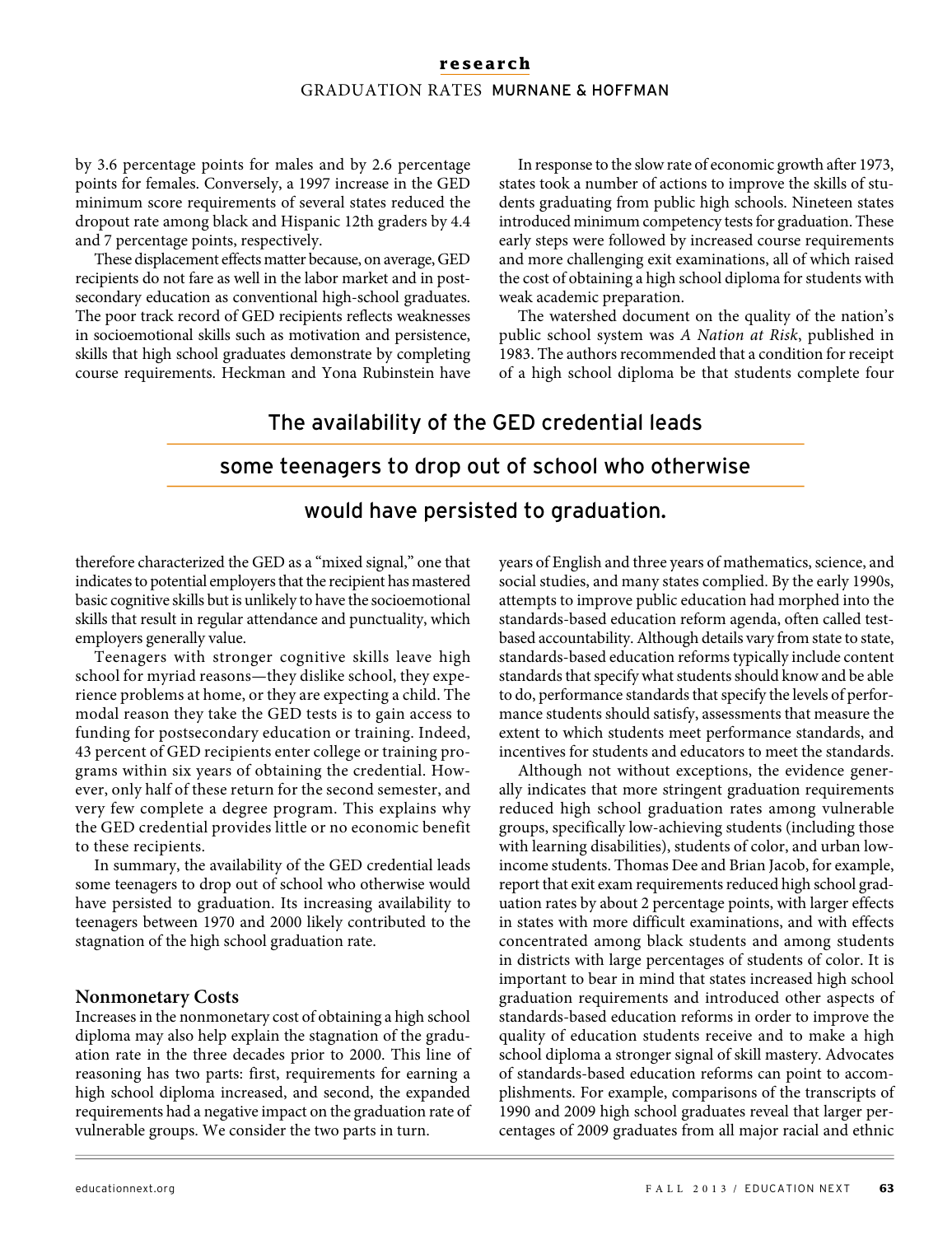## **research** GRADUATION RATES MURNANE & HOFFMAN

by 3.6 percentage points for males and by 2.6 percentage points for females. Conversely, a 1997 increase in the GED minimum score requirements of several states reduced the dropout rate among black and Hispanic 12th graders by 4.4 and 7 percentage points, respectively.

These displacement effects matter because, on average, GED recipients do not fare as well in the labor market and in postsecondary education as conventional high-school graduates. The poor track record of GED recipients reflects weaknesses in socioemotional skills such as motivation and persistence, skills that high school graduates demonstrate by completing course requirements. Heckman and Yona Rubinstein have

In response to the slow rate of economic growth after 1973, states took a number of actions to improve the skills of students graduating from public high schools. Nineteen states introduced minimum competency tests for graduation. These early steps were followed by increased course requirements and more challenging exit examinations, all of which raised the cost of obtaining a high school diploma for students with weak academic preparation.

The watershed document on the quality of the nation's public school system was A Nation at Risk, published in 1983. The authors recommended that a condition for receipt of a high school diploma be that students complete four

## The availability of the GED credential leads

## some teenagers to drop out of school who otherwise

## would have persisted to graduation.

therefore characterized the GED as a "mixed signal," one that indicates to potential employers that the recipient has mastered basic cognitive skills but is unlikely to have the socioemotional skills that result in regular attendance and punctuality, which employers generally value.

Teenagers with stronger cognitive skills leave high school for myriad reasons—they dislike school, they experience problems at home, or they are expecting a child. The modal reason they take the GED tests is to gain access to funding for postsecondary education or training. Indeed, 43 percent of GED recipients enter college or training programs within six years of obtaining the credential. However, only half of these return for the second semester, and very few complete a degree program. This explains why the GED credential provides little or no economic benefit to these recipients.

In summary, the availability of the GED credential leads some teenagers to drop out of school who otherwise would have persisted to graduation. Its increasing availability to teenagers between 1970 and 2000 likely contributed to the stagnation of the high school graduation rate.

### **Nonmonetary Costs**

Increases in the nonmonetary cost of obtaining a high school diploma may also help explain the stagnation of the graduation rate in the three decades prior to 2000. This line of reasoning has two parts: first, requirements for earning a high school diploma increased, and second, the expanded requirements had a negative impact on the graduation rate of vulnerable groups. We consider the two parts in turn.

years of English and three years of mathematics, science, and social studies, and many states complied. By the early 1990s, attempts to improve public education had morphed into the standards-based education reform agenda, often called testbased accountability. Although details vary from state to state, standards-based education reforms typically include content standards that specify what students should know and be able to do, performance standards that specify the levels of performance students should satisfy, assessments that measure the extent to which students meet performance standards, and incentives for students and educators to meet the standards.

Although not without exceptions, the evidence generally indicates that more stringent graduation requirements reduced high school graduation rates among vulnerable groups, specifically low-achieving students (including those with learning disabilities), students of color, and urban lowincome students. Thomas Dee and Brian Jacob, for example, report that exit exam requirements reduced high school graduation rates by about 2 percentage points, with larger effects in states with more difficult examinations, and with effects concentrated among black students and among students in districts with large percentages of students of color. It is important to bear in mind that states increased high school graduation requirements and introduced other aspects of standards-based education reforms in order to improve the quality of education students receive and to make a high school diploma a stronger signal of skill mastery. Advocates of standards-based education reforms can point to accomplishments. For example, comparisons of the transcripts of 1990 and 2009 high school graduates reveal that larger percentages of 2009 graduates from all major racial and ethnic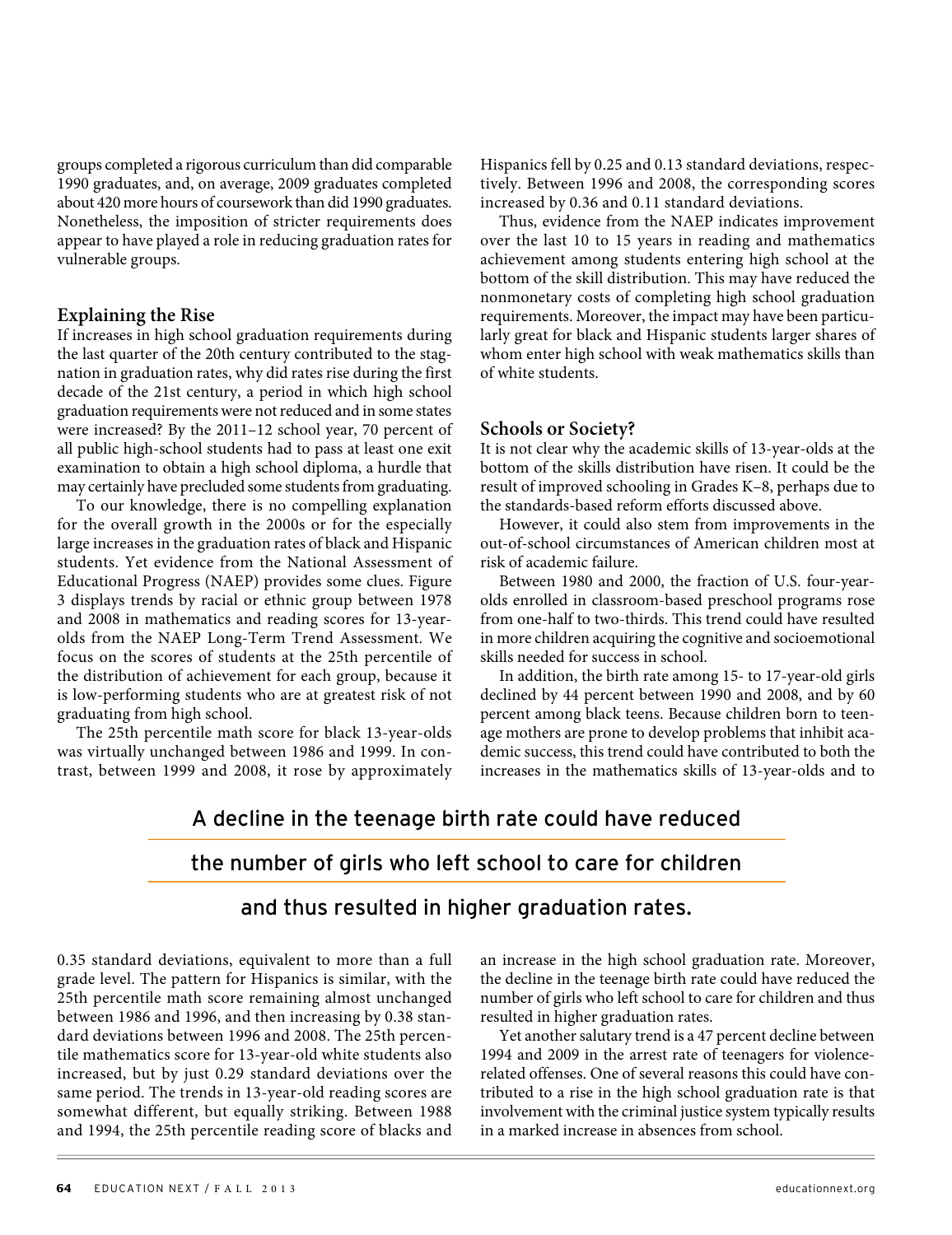groups completed a rigorous curriculum than did comparable 1990 graduates, and, on average, 2009 graduates completed about 420 more hours of coursework than did 1990 graduates. Nonetheless, the imposition of stricter requirements does appear to have played a role in reducing graduation rates for vulnerable groups.

#### **Explaining the Rise**

If increases in high school graduation requirements during the last quarter of the 20th century contributed to the stagnation in graduation rates, why did rates rise during the first decade of the 21st century, a period in which high school graduation requirements were not reduced and in some states were increased? By the 2011–12 school year, 70 percent of all public high-school students had to pass at least one exit examination to obtain a high school diploma, a hurdle that may certainly have precluded some students from graduating.

To our knowledge, there is no compelling explanation for the overall growth in the 2000s or for the especially large increases in the graduation rates of black and Hispanic students. Yet evidence from the National Assessment of Educational Progress (NAEP) provides some clues. Figure 3 displays trends by racial or ethnic group between 1978 and 2008 in mathematics and reading scores for 13-yearolds from the NAEP Long-Term Trend Assessment. We focus on the scores of students at the 25th percentile of the distribution of achievement for each group, because it is low-performing students who are at greatest risk of not graduating from high school.

The 25th percentile math score for black 13-year-olds was virtually unchanged between 1986 and 1999. In contrast, between 1999 and 2008, it rose by approximately Hispanics fell by 0.25 and 0.13 standard deviations, respectively. Between 1996 and 2008, the corresponding scores increased by 0.36 and 0.11 standard deviations.

Thus, evidence from the NAEP indicates improvement over the last 10 to 15 years in reading and mathematics achievement among students entering high school at the bottom of the skill distribution. This may have reduced the nonmonetary costs of completing high school graduation requirements. Moreover, the impact may have been particularly great for black and Hispanic students larger shares of whom enter high school with weak mathematics skills than of white students.

#### **Schools or Society?**

It is not clear why the academic skills of 13-year-olds at the bottom of the skills distribution have risen. It could be the result of improved schooling in Grades K–8, perhaps due to the standards-based reform efforts discussed above.

However, it could also stem from improvements in the out-of-school circumstances of American children most at risk of academic failure.

Between 1980 and 2000, the fraction of U.S. four-yearolds enrolled in classroom-based preschool programs rose from one-half to two-thirds. This trend could have resulted in more children acquiring the cognitive and socioemotional skills needed for success in school.

In addition, the birth rate among 15- to 17-year-old girls declined by 44 percent between 1990 and 2008, and by 60 percent among black teens. Because children born to teenage mothers are prone to develop problems that inhibit academic success, this trend could have contributed to both the increases in the mathematics skills of 13-year-olds and to

## A decline in the teenage birth rate could have reduced

## the number of girls who left school to care for children

## and thus resulted in higher graduation rates.

0.35 standard deviations, equivalent to more than a full grade level. The pattern for Hispanics is similar, with the 25th percentile math score remaining almost unchanged between 1986 and 1996, and then increasing by 0.38 standard deviations between 1996 and 2008. The 25th percentile mathematics score for 13-year-old white students also increased, but by just 0.29 standard deviations over the same period. The trends in 13-year-old reading scores are somewhat different, but equally striking. Between 1988 and 1994, the 25th percentile reading score of blacks and an increase in the high school graduation rate. Moreover, the decline in the teenage birth rate could have reduced the number of girls who left school to care for children and thus resulted in higher graduation rates.

Yet another salutary trend is a 47 percent decline between 1994 and 2009 in the arrest rate of teenagers for violencerelated offenses. One of several reasons this could have contributed to a rise in the high school graduation rate is that involvement with the criminal justice system typically results in a marked increase in absences from school.